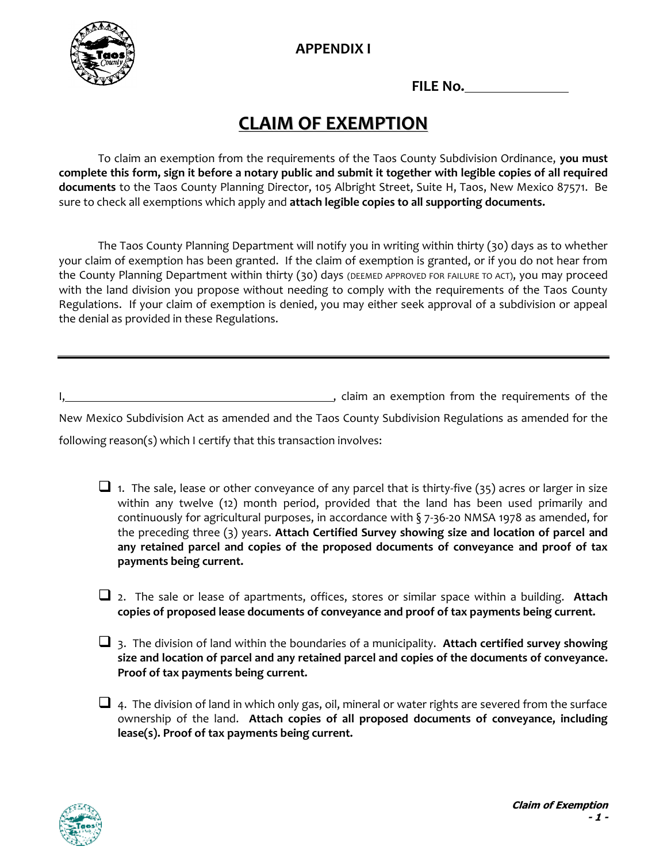**APPENDIX I**



**FILE No.**

# **CLAIM OF EXEMPTION**

To claim an exemption from the requirements of the Taos County Subdivision Ordinance, **you must complete this form, sign it before a notary public and submit it together with legible copies of all required documents** to the Taos County Planning Director, 105 Albright Street, Suite H, Taos, New Mexico 87571. Be sure to check all exemptions which apply and **attach legible copies to all supporting documents.**

The Taos County Planning Department will notify you in writing within thirty (30) days as to whether your claim of exemption has been granted. If the claim of exemption is granted, or if you do not hear from the County Planning Department within thirty (30) days (DEEMED APPROVED FOR FAILURE TO ACT), you may proceed with the land division you propose without needing to comply with the requirements of the Taos County Regulations. If your claim of exemption is denied, you may either seek approval of a subdivision or appeal the denial as provided in these Regulations.

I, claim an exemption from the requirements of the

New Mexico Subdivision Act as amended and the Taos County Subdivision Regulations as amended for the following reason(s) which I certify that this transaction involves:

 $\square$  1. The sale, lease or other conveyance of any parcel that is thirty-five (35) acres or larger in size within any twelve (12) month period, provided that the land has been used primarily and continuously for agricultural purposes, in accordance with  $\S$  7-36-20 NMSA 1978 as amended, for the preceding three (3) years. **Attach Certified Survey showing size and location of parcel and any retained parcel and copies of the proposed documents of conveyance and proof of tax payments being current.**

❑ 2. The sale or lease of apartments, offices, stores or similar space within a building. **Attach copies of proposed lease documents of conveyance and proof of tax payments being current.**

❑ 3. The division of land within the boundaries of a municipality. **Attach certified survey showing size and location of parcel and any retained parcel and copies of the documents of conveyance. Proof of tax payments being current.**

 $\Box$  4. The division of land in which only gas, oil, mineral or water rights are severed from the surface ownership of the land. **Attach copies of all proposed documents of conveyance, including lease(s). Proof of tax payments being current.**

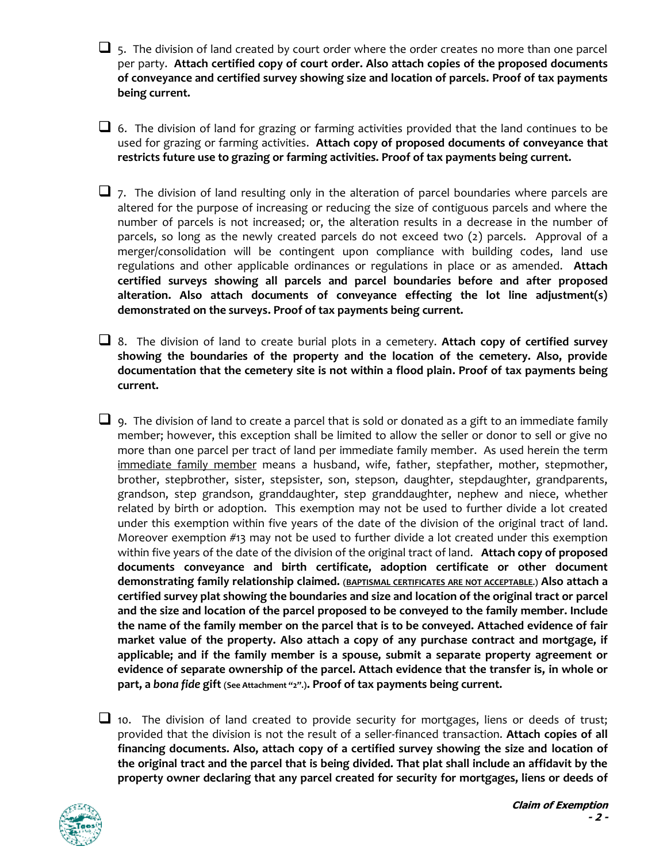$\Box$ , The division of land created by court order where the order creates no more than one parcel per party. **Attach certified copy of court order. Also attach copies of the proposed documents of conveyance and certified survey showing size and location of parcels. Proof of tax payments being current.**

 $\square$  6. The division of land for grazing or farming activities provided that the land continues to be used for grazing or farming activities. **Attach copy of proposed documents of conveyance that restricts future use to grazing or farming activities. Proof of tax payments being current.**

 $\Box$  7. The division of land resulting only in the alteration of parcel boundaries where parcels are altered for the purpose of increasing or reducing the size of contiguous parcels and where the number of parcels is not increased; or, the alteration results in a decrease in the number of parcels, so long as the newly created parcels do not exceed two (2) parcels. Approval of a merger/consolidation will be contingent upon compliance with building codes, land use regulations and other applicable ordinances or regulations in place or as amended. **Attach certified surveys showing all parcels and parcel boundaries before and after proposed alteration. Also attach documents of conveyance effecting the lot line adjustment(s) demonstrated on the surveys. Proof of tax payments being current.**

❑ 8. The division of land to create burial plots in a cemetery. **Attach copy of certified survey showing the boundaries of the property and the location of the cemetery. Also, provide documentation that the cemetery site is not within a flood plain. Proof of tax payments being current.**

 $\Box$  9. The division of land to create a parcel that is sold or donated as a gift to an immediate family member; however, this exception shall be limited to allow the seller or donor to sell or give no more than one parcel per tract of land per immediate family member. As used herein the term immediate family member means a husband, wife, father, stepfather, mother, stepmother, brother, stepbrother, sister, stepsister, son, stepson, daughter, stepdaughter, grandparents, grandson, step grandson, granddaughter, step granddaughter, nephew and niece, whether related by birth or adoption. This exemption may not be used to further divide a lot created under this exemption within five years of the date of the division of the original tract of land. Moreover exemption #13 may not be used to further divide a lot created under this exemption within five years of the date of the division of the original tract of land. **Attach copy of proposed documents conveyance and birth certificate, adoption certificate or other document demonstrating family relationship claimed. (BAPTISMAL CERTIFICATES ARE NOT ACCEPTABLE.) Also attach a certified survey plat showing the boundaries and size and location of the original tract or parcel and the size and location of the parcel proposed to be conveyed to the family member. Include the name of the family member on the parcel that is to be conveyed. Attached evidence of fair market value of the property. Also attach a copy of any purchase contract and mortgage, if applicable; and if the family member is a spouse, submit a separate property agreement or evidence of separate ownership of the parcel. Attach evidence that the transfer is, in whole or part, a** *bona fide* **gift (See Attachment "2".). Proof of tax payments being current.**

 $\Box$  10. The division of land created to provide security for mortgages, liens or deeds of trust; provided that the division is not the result of a seller-financed transaction. **Attach copies of all financing documents. Also, attach copy of a certified survey showing the size and location of the original tract and the parcel that is being divided. That plat shall include an affidavit by the property owner declaring that any parcel created for security for mortgages, liens or deeds of** 

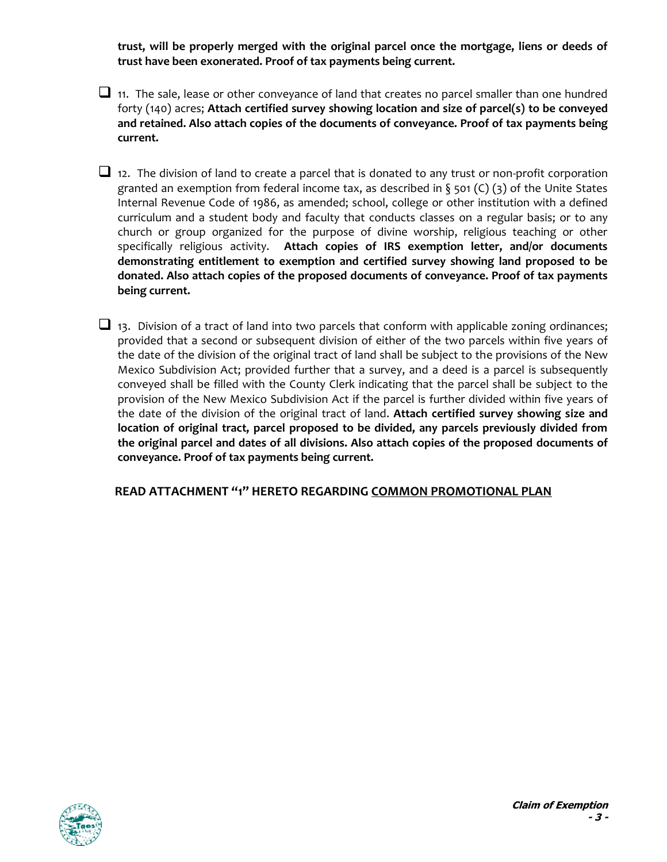**trust, will be properly merged with the original parcel once the mortgage, liens or deeds of trust have been exonerated. Proof of tax payments being current.**

 $\Box$  11. The sale, lease or other conveyance of land that creates no parcel smaller than one hundred forty (140) acres; **Attach certified survey showing location and size of parcel(s) to be conveyed and retained. Also attach copies of the documents of conveyance. Proof of tax payments being current.**

 $\Box$  12. The division of land to create a parcel that is donated to any trust or non-profit corporation granted an exemption from federal income tax, as described in  $\S$  501 (C) (3) of the Unite States Internal Revenue Code of 1986, as amended; school, college or other institution with a defined curriculum and a student body and faculty that conducts classes on a regular basis; or to any church or group organized for the purpose of divine worship, religious teaching or other specifically religious activity. **Attach copies of IRS exemption letter, and/or documents demonstrating entitlement to exemption and certified survey showing land proposed to be donated. Also attach copies of the proposed documents of conveyance. Proof of tax payments being current.**

 $\Box$  13. Division of a tract of land into two parcels that conform with applicable zoning ordinances; provided that a second or subsequent division of either of the two parcels within five years of the date of the division of the original tract of land shall be subject to the provisions of the New Mexico Subdivision Act; provided further that a survey, and a deed is a parcel is subsequently conveyed shall be filled with the County Clerk indicating that the parcel shall be subject to the provision of the New Mexico Subdivision Act if the parcel is further divided within five years of the date of the division of the original tract of land. **Attach certified survey showing size and location of original tract, parcel proposed to be divided, any parcels previously divided from the original parcel and dates of all divisions. Also attach copies of the proposed documents of conveyance. Proof of tax payments being current.**

**READ ATTACHMENT "1" HERETO REGARDING COMMON PROMOTIONAL PLAN**

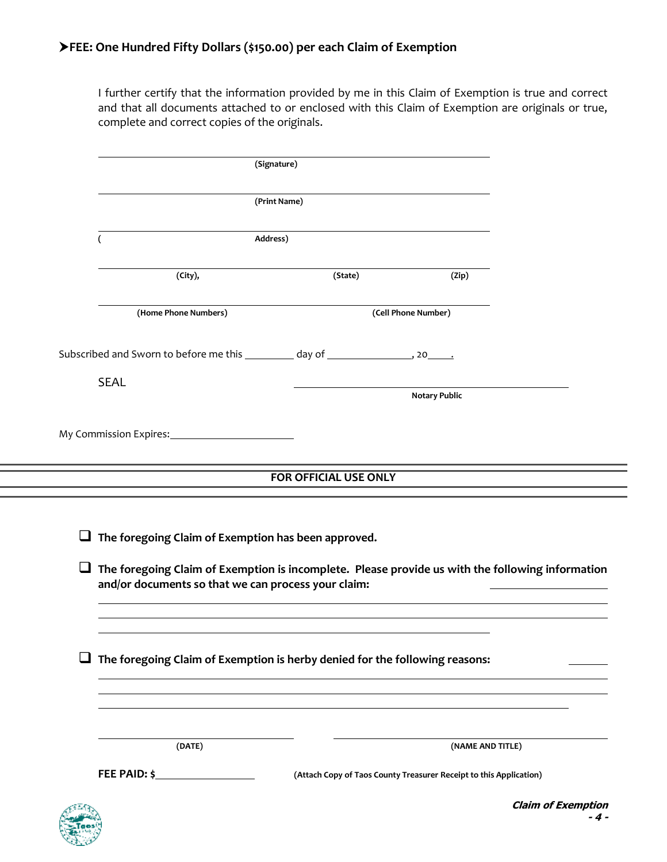I further certify that the information provided by me in this Claim of Exemption is true and correct and that all documents attached to or enclosed with this Claim of Exemption are originals or true, complete and correct copies of the originals.

|                                                                                                                                                              | (Signature)                                                                            |         |                                                                    |  |  |
|--------------------------------------------------------------------------------------------------------------------------------------------------------------|----------------------------------------------------------------------------------------|---------|--------------------------------------------------------------------|--|--|
|                                                                                                                                                              |                                                                                        |         |                                                                    |  |  |
|                                                                                                                                                              | (Print Name)                                                                           |         |                                                                    |  |  |
|                                                                                                                                                              | Address)<br>(                                                                          |         |                                                                    |  |  |
|                                                                                                                                                              | (City),                                                                                | (State) | (Zip)                                                              |  |  |
|                                                                                                                                                              | (Home Phone Numbers)                                                                   |         | (Cell Phone Number)                                                |  |  |
|                                                                                                                                                              | Subscribed and Sworn to before me this ___________ day of __________________, 20______ |         |                                                                    |  |  |
| <b>SEAL</b>                                                                                                                                                  |                                                                                        |         | <b>Notary Public</b>                                               |  |  |
|                                                                                                                                                              |                                                                                        |         |                                                                    |  |  |
| <b>FOR OFFICIAL USE ONLY</b>                                                                                                                                 |                                                                                        |         |                                                                    |  |  |
| $\Box$ The foregoing Claim of Exemption has been approved.                                                                                                   |                                                                                        |         |                                                                    |  |  |
| The foregoing Claim of Exemption is incomplete. Please provide us with the following information<br>⊔<br>and/or documents so that we can process your claim: |                                                                                        |         |                                                                    |  |  |
| ⊔                                                                                                                                                            | The foregoing Claim of Exemption is herby denied for the following reasons:            |         |                                                                    |  |  |
|                                                                                                                                                              | (DATE)                                                                                 |         | (NAME AND TITLE)                                                   |  |  |
|                                                                                                                                                              | FEE PAID: $\frac{1}{2}$                                                                |         | (Attach Copy of Taos County Treasurer Receipt to this Application) |  |  |

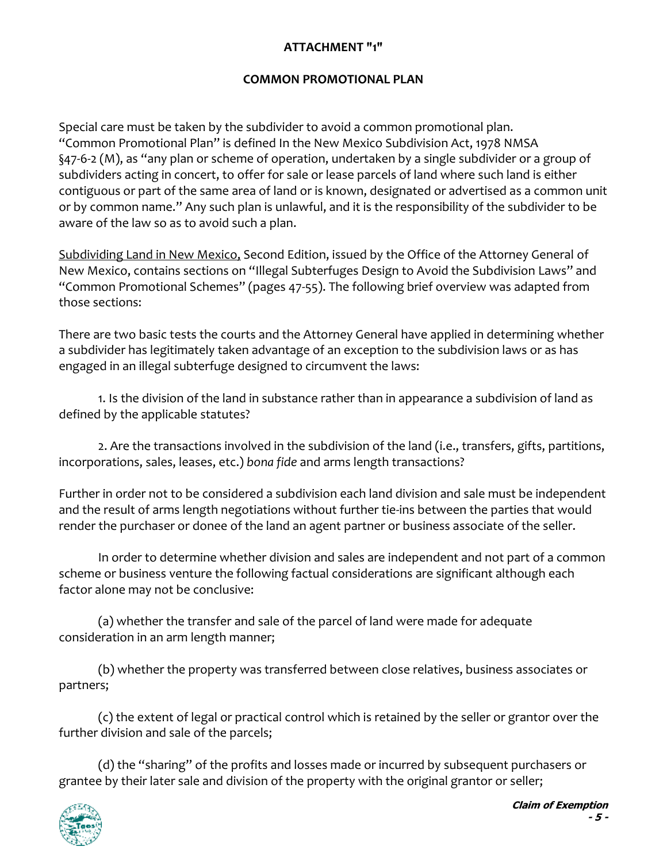## **ATTACHMENT "1"**

### **COMMON PROMOTIONAL PLAN**

Special care must be taken by the subdivider to avoid a common promotional plan. "Common Promotional Plan" is defined In the New Mexico Subdivision Act, 1978 NMSA §47-6-2 (M), as "any plan or scheme of operation, undertaken by a single subdivider or a group of subdividers acting in concert, to offer for sale or lease parcels of land where such land is either contiguous or part of the same area of land or is known, designated or advertised as a common unit or by common name." Any such plan is unlawful, and it is the responsibility of the subdivider to be aware of the law so as to avoid such a plan.

Subdividing Land in New Mexico, Second Edition, issued by the Office of the Attorney General of New Mexico, contains sections on "Illegal Subterfuges Design to Avoid the Subdivision Laws" and "Common Promotional Schemes" (pages 47-55). The following brief overview was adapted from those sections:

There are two basic tests the courts and the Attorney General have applied in determining whether a subdivider has legitimately taken advantage of an exception to the subdivision laws or as has engaged in an illegal subterfuge designed to circumvent the laws:

1. Is the division of the land in substance rather than in appearance a subdivision of land as defined by the applicable statutes?

2. Are the transactions involved in the subdivision of the land (i.e., transfers, gifts, partitions, incorporations, sales, leases, etc.) *bona fide* and arms length transactions?

Further in order not to be considered a subdivision each land division and sale must be independent and the result of arms length negotiations without further tie-ins between the parties that would render the purchaser or donee of the land an agent partner or business associate of the seller.

In order to determine whether division and sales are independent and not part of a common scheme or business venture the following factual considerations are significant although each factor alone may not be conclusive:

(a) whether the transfer and sale of the parcel of land were made for adequate consideration in an arm length manner;

(b) whether the property was transferred between close relatives, business associates or partners;

(c) the extent of legal or practical control which is retained by the seller or grantor over the further division and sale of the parcels;

(d) the "sharing" of the profits and losses made or incurred by subsequent purchasers or grantee by their later sale and division of the property with the original grantor or seller;

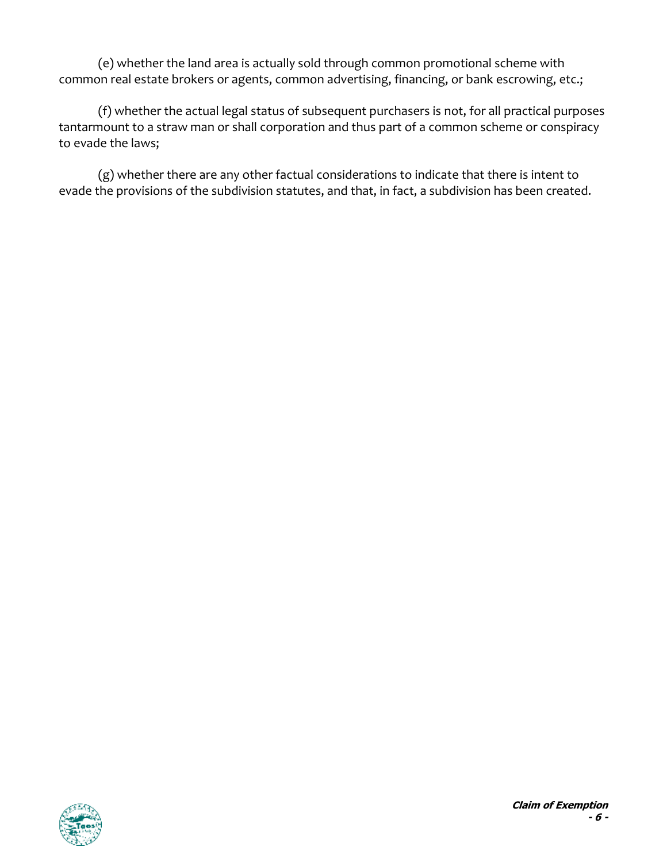(e) whether the land area is actually sold through common promotional scheme with common real estate brokers or agents, common advertising, financing, or bank escrowing, etc.;

(f) whether the actual legal status of subsequent purchasers is not, for all practical purposes tantarmount to a straw man or shall corporation and thus part of a common scheme or conspiracy to evade the laws;

(g) whether there are any other factual considerations to indicate that there is intent to evade the provisions of the subdivision statutes, and that, in fact, a subdivision has been created.